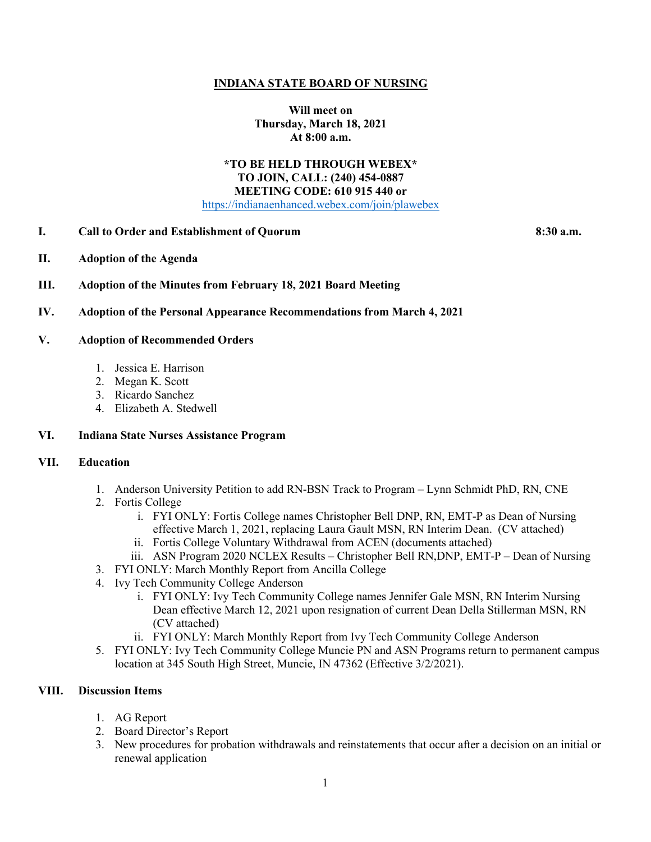### **INDIANA STATE BOARD OF NURSING**

**Will meet on Thursday, March 18, 2021 At 8:00 a.m.**

#### **\*TO BE HELD THROUGH WEBEX\* TO JOIN, CALL: (240) 454-0887 MEETING CODE: 610 915 440 or** [https://indianaenhanced.webex.com/join/plawebex](https://indianaenhanced.webex.com/join/PLAWebex)

#### **I. Call to Order and Establishment of Quorum 8:30 a.m.**

- **II. Adoption of the Agenda**
- **III. Adoption of the Minutes from February 18, 2021 Board Meeting**

#### **IV. Adoption of the Personal Appearance Recommendations from March 4, 2021**

#### **V. Adoption of Recommended Orders**

- 1. Jessica E. Harrison
- 2. Megan K. Scott
- 3. Ricardo Sanchez
- 4. Elizabeth A. Stedwell

#### **VI. Indiana State Nurses Assistance Program**

### **VII. Education**

- 1. Anderson University Petition to add RN-BSN Track to Program Lynn Schmidt PhD, RN, CNE
- 2. Fortis College
	- i. FYI ONLY: Fortis College names Christopher Bell DNP, RN, EMT-P as Dean of Nursing effective March 1, 2021, replacing Laura Gault MSN, RN Interim Dean. (CV attached)
	- ii. Fortis College Voluntary Withdrawal from ACEN (documents attached)
	- iii. ASN Program 2020 NCLEX Results Christopher Bell RN,DNP, EMT-P Dean of Nursing
- 3. FYI ONLY: March Monthly Report from Ancilla College
- 4. Ivy Tech Community College Anderson
	- i. FYI ONLY: Ivy Tech Community College names Jennifer Gale MSN, RN Interim Nursing Dean effective March 12, 2021 upon resignation of current Dean Della Stillerman MSN, RN (CV attached)
	- ii. FYI ONLY: March Monthly Report from Ivy Tech Community College Anderson
- 5. FYI ONLY: Ivy Tech Community College Muncie PN and ASN Programs return to permanent campus location at 345 South High Street, Muncie, IN 47362 (Effective 3/2/2021).

#### **VIII. Discussion Items**

- 1. AG Report
- 2. Board Director's Report
- 3. New procedures for probation withdrawals and reinstatements that occur after a decision on an initial or renewal application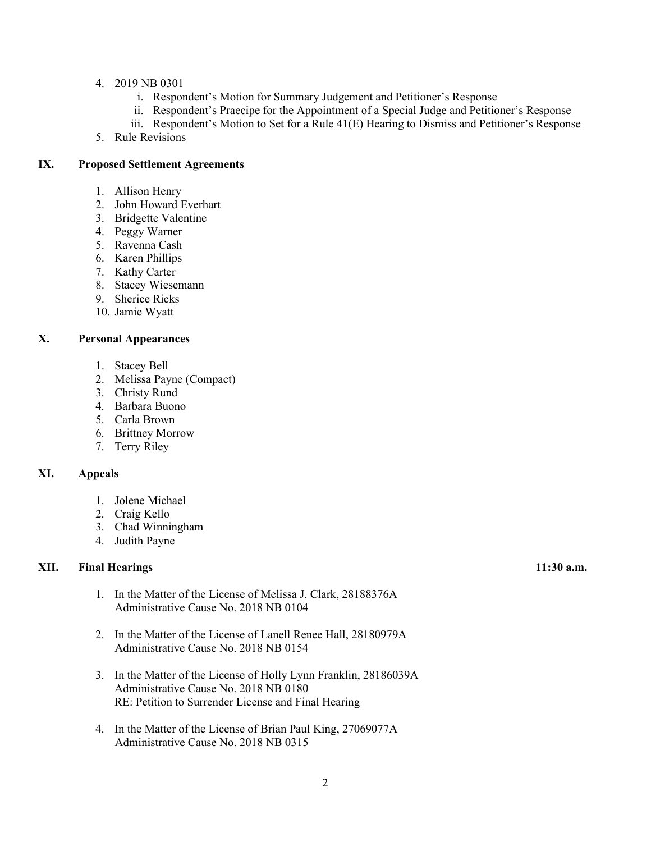- 4. 2019 NB 0301
	- i. Respondent's Motion for Summary Judgement and Petitioner's Response
	- ii. Respondent's Praecipe for the Appointment of a Special Judge and Petitioner's Response
	- iii. Respondent's Motion to Set for a Rule 41(E) Hearing to Dismiss and Petitioner's Response
- 5. Rule Revisions

## **IX. Proposed Settlement Agreements**

- 1. Allison Henry
- 2. John Howard Everhart
- 3. Bridgette Valentine
- 4. Peggy Warner
- 5. Ravenna Cash
- 6. Karen Phillips
- 7. Kathy Carter
- 8. Stacey Wiesemann
- 9. Sherice Ricks
- 10. Jamie Wyatt

# **X. Personal Appearances**

- 1. Stacey Bell
- 2. Melissa Payne (Compact)
- 3. Christy Rund
- 4. Barbara Buono
- 5. Carla Brown
- 6. Brittney Morrow
- 7. Terry Riley

# **XI. Appeals**

- 1. Jolene Michael
- 2. Craig Kello
- 3. Chad Winningham
- 4. Judith Payne

## **XII. Final Hearings 11:30 a.m.**

- 1. In the Matter of the License of Melissa J. Clark, 28188376A Administrative Cause No. 2018 NB 0104
- 2. In the Matter of the License of Lanell Renee Hall, 28180979A Administrative Cause No. 2018 NB 0154
- 3. In the Matter of the License of Holly Lynn Franklin, 28186039A Administrative Cause No. 2018 NB 0180 RE: Petition to Surrender License and Final Hearing
- 4. In the Matter of the License of Brian Paul King, 27069077A Administrative Cause No. 2018 NB 0315